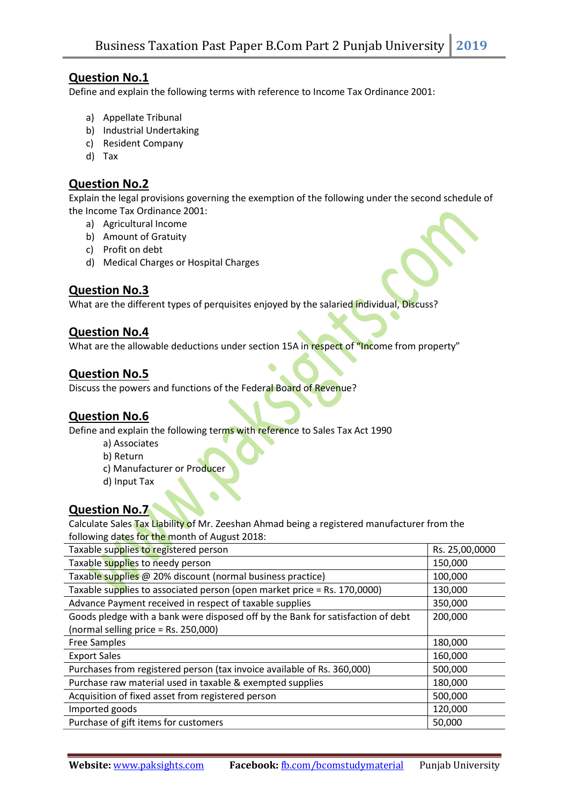### Question No.1

Define and explain the following terms with reference to Income Tax Ordinance 2001:

- a) Appellate Tribunal
- b) Industrial Undertaking
- c) Resident Company
- d) Tax

# Question No.2

Explain the legal provisions governing the exemption of the following under the second schedule of the Income Tax Ordinance 2001:

- a) Agricultural Income
- b) Amount of Gratuity
- c) Profit on debt
- d) Medical Charges or Hospital Charges

## Question No.3

What are the different types of perquisites enjoyed by the salaried individual, Discuss?

#### Question No.4

What are the allowable deductions under section 15A in respect of "Income from property"

#### Question No.5

Discuss the powers and functions of the Federal Board of Revenue?

## Question No.6

Define and explain the following terms with reference to Sales Tax Act 1990

- a) Associates
- b) Return
- c) Manufacturer or Producer
- d) Input Tax

## Question No.7

Calculate Sales Tax Liability of Mr. Zeeshan Ahmad being a registered manufacturer from the following dates for the month of August 2018:

| Taxable supplies to registered person                                           | Rs. 25,00,0000 |
|---------------------------------------------------------------------------------|----------------|
| Taxable supplies to needy person                                                | 150,000        |
| Taxable supplies @ 20% discount (normal business practice)                      | 100,000        |
| Taxable supplies to associated person (open market price = Rs. 170,0000)        | 130,000        |
| Advance Payment received in respect of taxable supplies                         | 350,000        |
| Goods pledge with a bank were disposed off by the Bank for satisfaction of debt | 200,000        |
| (normal selling price $=$ Rs. 250,000)                                          |                |
| <b>Free Samples</b>                                                             | 180,000        |
| <b>Export Sales</b>                                                             | 160,000        |
| Purchases from registered person (tax invoice available of Rs. 360,000)         | 500,000        |
| Purchase raw material used in taxable & exempted supplies                       | 180,000        |
| Acquisition of fixed asset from registered person                               | 500,000        |
| Imported goods                                                                  | 120,000        |
| Purchase of gift items for customers                                            | 50,000         |
|                                                                                 |                |